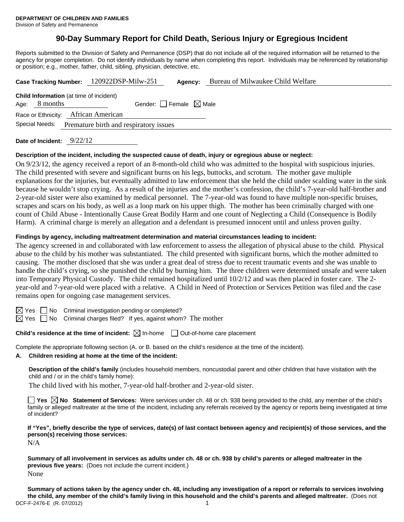# **90-Day Summary Report for Child Death, Serious Injury or Egregious Incident**

Reports submitted to the Division of Safety and Permanence (DSP) that do not include all of the required information will be returned to the agency for proper completion. Do not identify individuals by name when completing this report. Individuals may be referenced by relationship or position; e.g., mother, father, child, sibling, physician, detective, etc.

|                                                          |                                                                   | Case Tracking Number: 120922DSP-Milw-251 |                                 | Agency: | Bureau of Milwaukee Child Welfare |  |
|----------------------------------------------------------|-------------------------------------------------------------------|------------------------------------------|---------------------------------|---------|-----------------------------------|--|
|                                                          | <b>Child Information</b> (at time of incident)<br>Age: $8$ months |                                          | Gender: Female $\boxtimes$ Male |         |                                   |  |
|                                                          | Race or Ethnicity: African American                               |                                          |                                 |         |                                   |  |
| Special Needs:<br>Premature birth and respiratory issues |                                                                   |                                          |                                 |         |                                   |  |
|                                                          |                                                                   |                                          |                                 |         |                                   |  |

**Date of Incident:** 9/22/12

#### **Description of the incident, including the suspected cause of death, injury or egregious abuse or neglect:**

On 9/23/12, the agency received a report of an 8-month-old child who was admitted to the hospital with suspicious injuries. The child presented with severe and significant burns on his legs, buttocks, and scrotum. The mother gave multiple explanations for the injuries, but eventually admitted to law enforcement that she held the child under scalding water in the sink because he wouldn't stop crying. As a result of the injuries and the mother's confession, the child's 7-year-old half-brother and 2-year-old sister were also examined by medical personnel. The 7-year-old was found to have multiple non-specific bruises, scrapes and scars on his body, as well as a loop mark on his upper thigh. The mother has been criminally charged with one count of Child Abuse - Intentionally Cause Great Bodily Harm and one count of Neglecting a Child (Consequence is Bodily Harm). A criminal charge is merely an allegation and a defendant is presumed innocent until and unless proven guilty.

#### **Findings by agency, including maltreatment determination and material circumstances leading to incident:**

The agency screened in and collaborated with law enforcement to assess the allegation of physical abuse to the child. Physical abuse to the child by his mother was substantiated. The child presented with significant burns, which the mother admitted to causing. The mother disclosed that she was under a great deal of stress due to recent traumatic events and she was unable to handle the child's crying, so she punished the child by burning him. The three children were determined unsafe and were taken into Temporary Physical Custody. The child remained hospitalized until 10/2/12 and was then placed in foster care. The 2 year-old and 7-year-old were placed with a relative. A Child in Need of Protection or Services Petition was filed and the case remains open for ongoing case management services.

 $\boxtimes$  Yes  $\Box$  No Criminal investigation pending or completed?

 $\boxtimes$  Yes  $\Box$  No Criminal charges filed? If yes, against whom? The mother

**Child's residence at the time of incident:** ⊠ In-home □ Out-of-home care placement

Complete the appropriate following section (A. or B. based on the child's residence at the time of the incident).

#### **A. Children residing at home at the time of the incident:**

**Description of the child's family** (includes household members, noncustodial parent and other children that have visitation with the child and / or in the child's family home):

The child lived with his mother, 7-year-old half-brother and 2-year-old sister.

**Yes No Statement of Services:** Were services under ch. 48 or ch. 938 being provided to the child, any member of the child's family or alleged maltreater at the time of the incident, including any referrals received by the agency or reports being investigated at time of incident?

**If "Yes", briefly describe the type of services, date(s) of last contact between agency and recipient(s) of those services, and the person(s) receiving those services:** 

N/A

**Summary of all involvement in services as adults under ch. 48 or ch. 938 by child's parents or alleged maltreater in the previous five years:** (Does not include the current incident.) None

DCF-F-2476-E (R. 07/2012) 1 **Summary of actions taken by the agency under ch. 48, including any investigation of a report or referrals to services involving the child, any member of the child's family living in this household and the child's parents and alleged maltreater.** (Does not